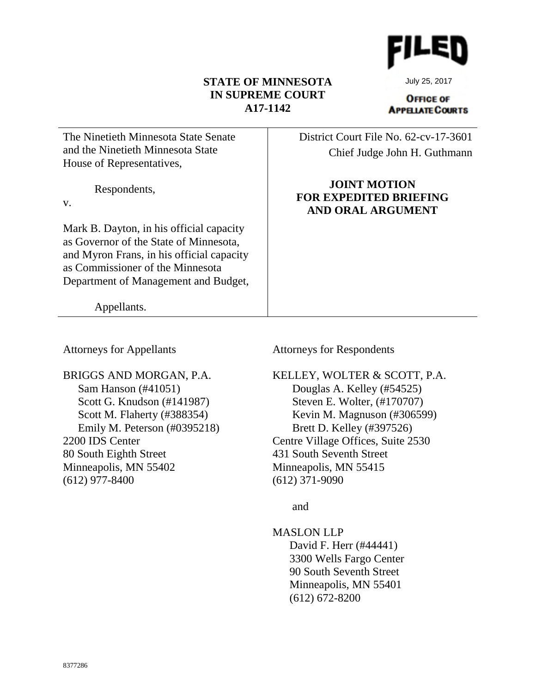## **STATE OF MINNESOTA IN SUPREME COURT A17-1142**

July 25, 2017

**OFFICE OF APPELATE COURTS** 

| The Ninetieth Minnesota State Senate<br>and the Ninetieth Minnesota State<br>House of Representatives,                                                                                                      | District Court File No. 62-cv-17-3601<br>Chief Judge John H. Guthmann            |
|-------------------------------------------------------------------------------------------------------------------------------------------------------------------------------------------------------------|----------------------------------------------------------------------------------|
| Respondents,<br>V.                                                                                                                                                                                          | <b>JOINT MOTION</b><br><b>FOR EXPEDITED BRIEFING</b><br><b>AND ORAL ARGUMENT</b> |
| Mark B. Dayton, in his official capacity<br>as Governor of the State of Minnesota,<br>and Myron Frans, in his official capacity<br>as Commissioner of the Minnesota<br>Department of Management and Budget, |                                                                                  |
| Appellants.                                                                                                                                                                                                 |                                                                                  |

Attorneys for Appellants

Attorneys for Respondents

BRIGGS AND MORGAN, P.A. Sam Hanson (#41051) Scott G. Knudson (#141987) Scott M. Flaherty (#388354) Emily M. Peterson (#0395218) 2200 IDS Center 80 South Eighth Street Minneapolis, MN 55402 (612) 977-8400

KELLEY, WOLTER & SCOTT, P.A. Douglas A. Kelley (#54525) Steven E. Wolter, (#170707) Kevin M. Magnuson (#306599) Brett D. Kelley (#397526) Centre Village Offices, Suite 2530 431 South Seventh Street Minneapolis, MN 55415 (612) 371-9090

and

MASLON LLP David F. Herr (#44441) 3300 Wells Fargo Center 90 South Seventh Street Minneapolis, MN 55401 (612) 672-8200